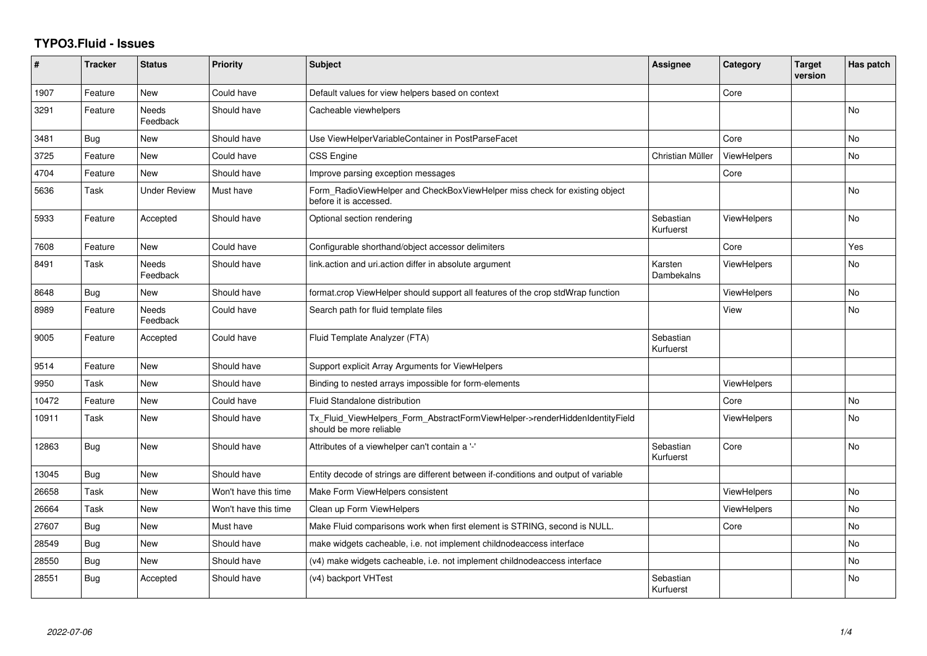## **TYPO3.Fluid - Issues**

| #     | <b>Tracker</b> | <b>Status</b>            | <b>Priority</b>      | <b>Subject</b>                                                                                         | <b>Assignee</b>        | Category           | <b>Target</b><br>version | Has patch      |
|-------|----------------|--------------------------|----------------------|--------------------------------------------------------------------------------------------------------|------------------------|--------------------|--------------------------|----------------|
| 1907  | Feature        | <b>New</b>               | Could have           | Default values for view helpers based on context                                                       |                        | Core               |                          |                |
| 3291  | Feature        | Needs<br>Feedback        | Should have          | Cacheable viewhelpers                                                                                  |                        |                    |                          | <b>No</b>      |
| 3481  | Bug            | New                      | Should have          | Use ViewHelperVariableContainer in PostParseFacet                                                      |                        | Core               |                          | <b>No</b>      |
| 3725  | Feature        | <b>New</b>               | Could have           | CSS Engine                                                                                             | Christian Müller       | ViewHelpers        |                          | N <sub>o</sub> |
| 4704  | Feature        | <b>New</b>               | Should have          | Improve parsing exception messages                                                                     |                        | Core               |                          |                |
| 5636  | Task           | <b>Under Review</b>      | Must have            | Form RadioViewHelper and CheckBoxViewHelper miss check for existing object<br>before it is accessed.   |                        |                    |                          | No             |
| 5933  | Feature        | Accepted                 | Should have          | Optional section rendering                                                                             | Sebastian<br>Kurfuerst | <b>ViewHelpers</b> |                          | <b>No</b>      |
| 7608  | Feature        | New                      | Could have           | Configurable shorthand/object accessor delimiters                                                      |                        | Core               |                          | Yes            |
| 8491  | Task           | <b>Needs</b><br>Feedback | Should have          | link.action and uri.action differ in absolute argument                                                 | Karsten<br>Dambekalns  | <b>ViewHelpers</b> |                          | No             |
| 8648  | Bug            | New                      | Should have          | format.crop ViewHelper should support all features of the crop stdWrap function                        |                        | ViewHelpers        |                          | <b>No</b>      |
| 8989  | Feature        | <b>Needs</b><br>Feedback | Could have           | Search path for fluid template files                                                                   |                        | View               |                          | <b>No</b>      |
| 9005  | Feature        | Accepted                 | Could have           | Fluid Template Analyzer (FTA)                                                                          | Sebastian<br>Kurfuerst |                    |                          |                |
| 9514  | Feature        | New                      | Should have          | Support explicit Array Arguments for ViewHelpers                                                       |                        |                    |                          |                |
| 9950  | Task           | New                      | Should have          | Binding to nested arrays impossible for form-elements                                                  |                        | ViewHelpers        |                          |                |
| 10472 | Feature        | New                      | Could have           | Fluid Standalone distribution                                                                          |                        | Core               |                          | No             |
| 10911 | Task           | New                      | Should have          | Tx_Fluid_ViewHelpers_Form_AbstractFormViewHelper->renderHiddenIdentityField<br>should be more reliable |                        | <b>ViewHelpers</b> |                          | N <sub>o</sub> |
| 12863 | Bug            | <b>New</b>               | Should have          | Attributes of a viewhelper can't contain a '-'                                                         | Sebastian<br>Kurfuerst | Core               |                          | <b>No</b>      |
| 13045 | Bug            | New                      | Should have          | Entity decode of strings are different between if-conditions and output of variable                    |                        |                    |                          |                |
| 26658 | Task           | <b>New</b>               | Won't have this time | Make Form ViewHelpers consistent                                                                       |                        | <b>ViewHelpers</b> |                          | <b>No</b>      |
| 26664 | Task           | New                      | Won't have this time | Clean up Form ViewHelpers                                                                              |                        | <b>ViewHelpers</b> |                          | No             |
| 27607 | Bug            | New                      | Must have            | Make Fluid comparisons work when first element is STRING, second is NULL.                              |                        | Core               |                          | <b>No</b>      |
| 28549 | Bug            | New                      | Should have          | make widgets cacheable, i.e. not implement childnodeaccess interface                                   |                        |                    |                          | No             |
| 28550 | Bug            | New                      | Should have          | (v4) make widgets cacheable, i.e. not implement childnodeaccess interface                              |                        |                    |                          | <b>No</b>      |
| 28551 | Bug            | Accepted                 | Should have          | (v4) backport VHTest                                                                                   | Sebastian<br>Kurfuerst |                    |                          | No             |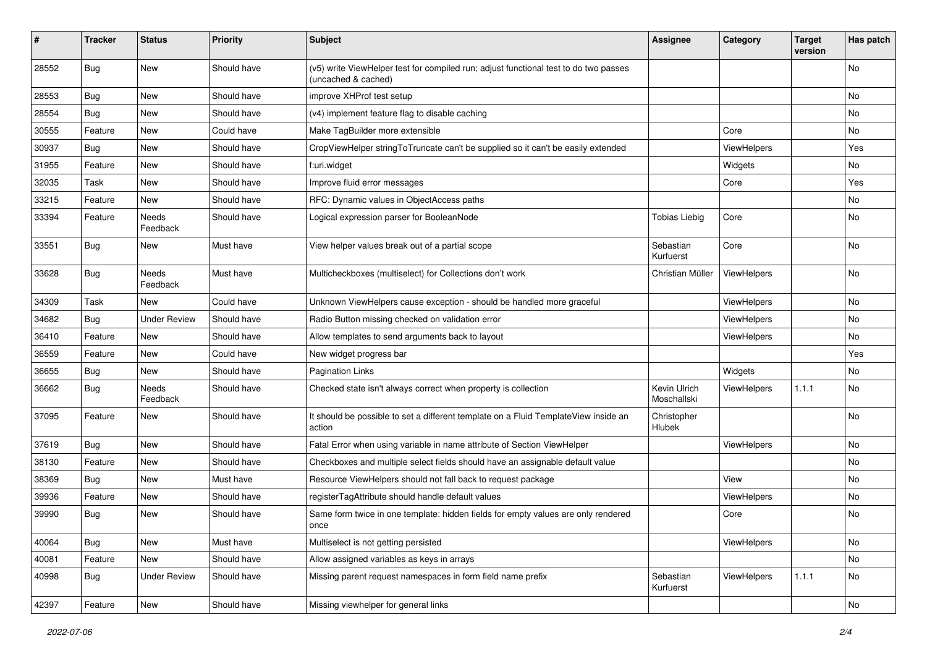| ∦     | <b>Tracker</b> | <b>Status</b>            | <b>Priority</b> | <b>Subject</b>                                                                                              | <b>Assignee</b>             | Category           | <b>Target</b><br>version | Has patch |
|-------|----------------|--------------------------|-----------------|-------------------------------------------------------------------------------------------------------------|-----------------------------|--------------------|--------------------------|-----------|
| 28552 | Bug            | New                      | Should have     | (v5) write ViewHelper test for compiled run; adjust functional test to do two passes<br>(uncached & cached) |                             |                    |                          | No        |
| 28553 | <b>Bug</b>     | New                      | Should have     | improve XHProf test setup                                                                                   |                             |                    |                          | No        |
| 28554 | Bug            | New                      | Should have     | (v4) implement feature flag to disable caching                                                              |                             |                    |                          | No        |
| 30555 | Feature        | New                      | Could have      | Make TagBuilder more extensible                                                                             |                             | Core               |                          | No        |
| 30937 | Bug            | <b>New</b>               | Should have     | CropViewHelper stringToTruncate can't be supplied so it can't be easily extended                            |                             | ViewHelpers        |                          | Yes       |
| 31955 | Feature        | New                      | Should have     | f:uri.widget                                                                                                |                             | Widgets            |                          | No        |
| 32035 | Task           | New                      | Should have     | Improve fluid error messages                                                                                |                             | Core               |                          | Yes       |
| 33215 | Feature        | New                      | Should have     | RFC: Dynamic values in ObjectAccess paths                                                                   |                             |                    |                          | No        |
| 33394 | Feature        | Needs<br>Feedback        | Should have     | Logical expression parser for BooleanNode                                                                   | <b>Tobias Liebig</b>        | Core               |                          | No        |
| 33551 | Bug            | New                      | Must have       | View helper values break out of a partial scope                                                             | Sebastian<br>Kurfuerst      | Core               |                          | No        |
| 33628 | Bug            | <b>Needs</b><br>Feedback | Must have       | Multicheckboxes (multiselect) for Collections don't work                                                    | Christian Müller            | ViewHelpers        |                          | No.       |
| 34309 | Task           | New                      | Could have      | Unknown ViewHelpers cause exception - should be handled more graceful                                       |                             | ViewHelpers        |                          | No.       |
| 34682 | Bug            | <b>Under Review</b>      | Should have     | Radio Button missing checked on validation error                                                            |                             | ViewHelpers        |                          | No        |
| 36410 | Feature        | New                      | Should have     | Allow templates to send arguments back to layout                                                            |                             | <b>ViewHelpers</b> |                          | No        |
| 36559 | Feature        | New                      | Could have      | New widget progress bar                                                                                     |                             |                    |                          | Yes       |
| 36655 | Bug            | <b>New</b>               | Should have     | <b>Pagination Links</b>                                                                                     |                             | Widgets            |                          | No.       |
| 36662 | <b>Bug</b>     | Needs<br>Feedback        | Should have     | Checked state isn't always correct when property is collection                                              | Kevin Ulrich<br>Moschallski | ViewHelpers        | 1.1.1                    | No        |
| 37095 | Feature        | New                      | Should have     | It should be possible to set a different template on a Fluid TemplateView inside an<br>action               | Christopher<br>Hlubek       |                    |                          | No        |
| 37619 | Bug            | New                      | Should have     | Fatal Error when using variable in name attribute of Section ViewHelper                                     |                             | ViewHelpers        |                          | No        |
| 38130 | Feature        | New                      | Should have     | Checkboxes and multiple select fields should have an assignable default value                               |                             |                    |                          | No        |
| 38369 | Bug            | New                      | Must have       | Resource ViewHelpers should not fall back to request package                                                |                             | View               |                          | No        |
| 39936 | Feature        | New                      | Should have     | registerTagAttribute should handle default values                                                           |                             | ViewHelpers        |                          | No        |
| 39990 | Bug            | New                      | Should have     | Same form twice in one template: hidden fields for empty values are only rendered<br>once                   |                             | Core               |                          | No        |
| 40064 | Bug            | New                      | Must have       | Multiselect is not getting persisted                                                                        |                             | ViewHelpers        |                          | No        |
| 40081 | Feature        | New                      | Should have     | Allow assigned variables as keys in arrays                                                                  |                             |                    |                          | No        |
| 40998 | <b>Bug</b>     | <b>Under Review</b>      | Should have     | Missing parent request namespaces in form field name prefix                                                 | Sebastian<br>Kurfuerst      | ViewHelpers        | 1.1.1                    | No        |
| 42397 | Feature        | New                      | Should have     | Missing viewhelper for general links                                                                        |                             |                    |                          | No        |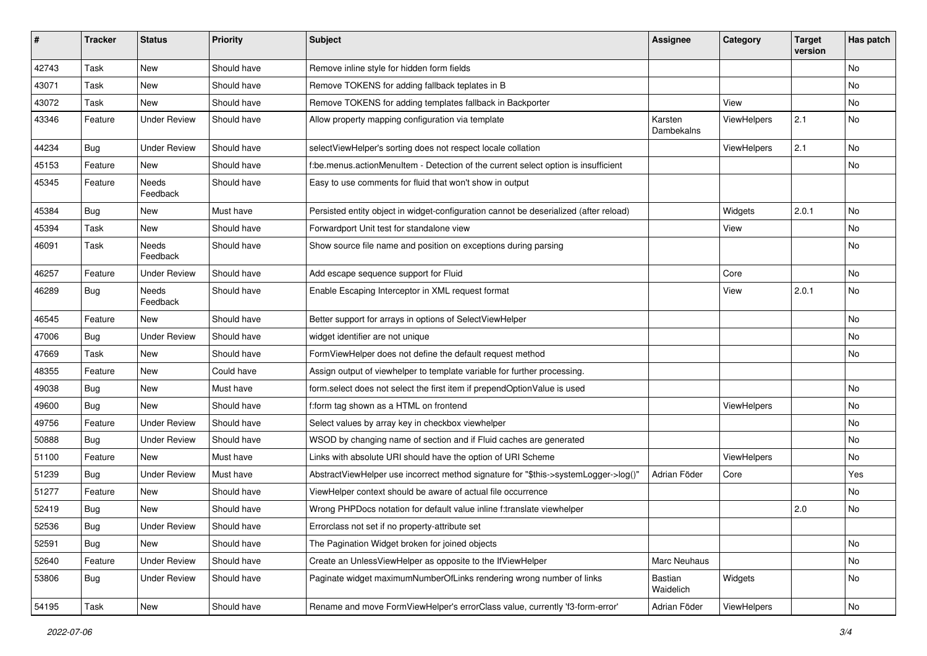| #     | <b>Tracker</b> | <b>Status</b>       | <b>Priority</b> | <b>Subject</b>                                                                        | <b>Assignee</b>       | Category    | <b>Target</b><br>version | Has patch |
|-------|----------------|---------------------|-----------------|---------------------------------------------------------------------------------------|-----------------------|-------------|--------------------------|-----------|
| 42743 | Task           | New                 | Should have     | Remove inline style for hidden form fields                                            |                       |             |                          | No        |
| 43071 | Task           | New                 | Should have     | Remove TOKENS for adding fallback teplates in B                                       |                       |             |                          | No        |
| 43072 | Task           | New                 | Should have     | Remove TOKENS for adding templates fallback in Backporter                             |                       | View        |                          | No        |
| 43346 | Feature        | <b>Under Review</b> | Should have     | Allow property mapping configuration via template                                     | Karsten<br>Dambekalns | ViewHelpers | 2.1                      | No        |
| 44234 | <b>Bug</b>     | <b>Under Review</b> | Should have     | selectViewHelper's sorting does not respect locale collation                          |                       | ViewHelpers | 2.1                      | No.       |
| 45153 | Feature        | New                 | Should have     | f:be.menus.actionMenuItem - Detection of the current select option is insufficient    |                       |             |                          | No        |
| 45345 | Feature        | Needs<br>Feedback   | Should have     | Easy to use comments for fluid that won't show in output                              |                       |             |                          |           |
| 45384 | Bug            | New                 | Must have       | Persisted entity object in widget-configuration cannot be deserialized (after reload) |                       | Widgets     | 2.0.1                    | No.       |
| 45394 | Task           | New                 | Should have     | Forwardport Unit test for standalone view                                             |                       | View        |                          | No        |
| 46091 | Task           | Needs<br>Feedback   | Should have     | Show source file name and position on exceptions during parsing                       |                       |             |                          | No        |
| 46257 | Feature        | <b>Under Review</b> | Should have     | Add escape sequence support for Fluid                                                 |                       | Core        |                          | No.       |
| 46289 | <b>Bug</b>     | Needs<br>Feedback   | Should have     | Enable Escaping Interceptor in XML request format                                     |                       | View        | 2.0.1                    | No        |
| 46545 | Feature        | New                 | Should have     | Better support for arrays in options of SelectViewHelper                              |                       |             |                          | No        |
| 47006 | <b>Bug</b>     | <b>Under Review</b> | Should have     | widget identifier are not unique                                                      |                       |             |                          | No        |
| 47669 | Task           | New                 | Should have     | FormViewHelper does not define the default request method                             |                       |             |                          | No        |
| 48355 | Feature        | New                 | Could have      | Assign output of viewhelper to template variable for further processing.              |                       |             |                          |           |
| 49038 | <b>Bug</b>     | New                 | Must have       | form select does not select the first item if prependOptionValue is used              |                       |             |                          | No        |
| 49600 | <b>Bug</b>     | <b>New</b>          | Should have     | f:form tag shown as a HTML on frontend                                                |                       | ViewHelpers |                          | No        |
| 49756 | Feature        | <b>Under Review</b> | Should have     | Select values by array key in checkbox viewhelper                                     |                       |             |                          | No        |
| 50888 | Bug            | Under Review        | Should have     | WSOD by changing name of section and if Fluid caches are generated                    |                       |             |                          | No        |
| 51100 | Feature        | <b>New</b>          | Must have       | Links with absolute URI should have the option of URI Scheme                          |                       | ViewHelpers |                          | No        |
| 51239 | <b>Bug</b>     | <b>Under Review</b> | Must have       | AbstractViewHelper use incorrect method signature for "\$this->systemLogger->log()"   | Adrian Föder          | Core        |                          | Yes       |
| 51277 | Feature        | New                 | Should have     | ViewHelper context should be aware of actual file occurrence                          |                       |             |                          | No        |
| 52419 | <b>Bug</b>     | New                 | Should have     | Wrong PHPDocs notation for default value inline f:translate viewhelper                |                       |             | 2.0                      | No        |
| 52536 | <b>Bug</b>     | <b>Under Review</b> | Should have     | Errorclass not set if no property-attribute set                                       |                       |             |                          |           |
| 52591 | <b>Bug</b>     | New                 | Should have     | The Pagination Widget broken for joined objects                                       |                       |             |                          | No        |
| 52640 | Feature        | <b>Under Review</b> | Should have     | Create an UnlessViewHelper as opposite to the IfViewHelper                            | Marc Neuhaus          |             |                          | No        |
| 53806 | Bug            | <b>Under Review</b> | Should have     | Paginate widget maximumNumberOfLinks rendering wrong number of links                  | Bastian<br>Waidelich  | Widgets     |                          | No        |
| 54195 | Task           | New                 | Should have     | Rename and move FormViewHelper's errorClass value, currently 'f3-form-error'          | Adrian Föder          | ViewHelpers |                          | No        |